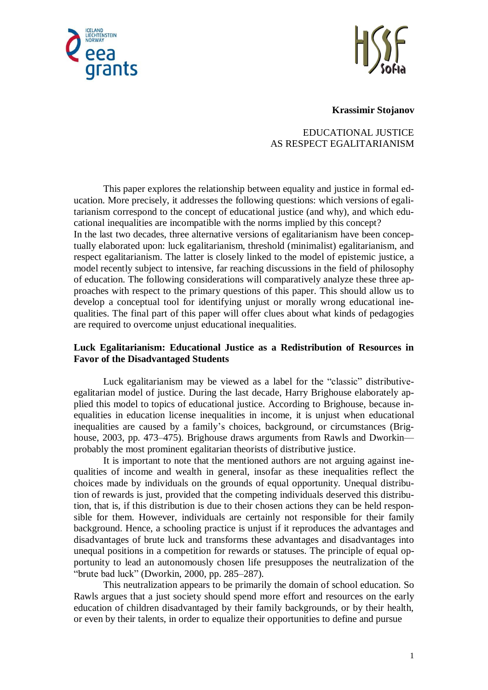



**Krassimir Stojanov**

EDUCATIONAL JUSTICE AS RESPECT EGALITARIANISM

This paper explores the relationship between equality and justice in formal education. More precisely, it addresses the following questions: which versions of egalitarianism correspond to the concept of educational justice (and why), and which educational inequalities are incompatible with the norms implied by this concept? In the last two decades, three alternative versions of egalitarianism have been conceptually elaborated upon: luck egalitarianism, threshold (minimalist) egalitarianism, and respect egalitarianism. The latter is closely linked to the model of epistemic justice, a model recently subject to intensive, far reaching discussions in the field of philosophy of education. The following considerations will comparatively analyze these three approaches with respect to the primary questions of this paper. This should allow us to develop a conceptual tool for identifying unjust or morally wrong educational inequalities. The final part of this paper will offer clues about what kinds of pedagogies are required to overcome unjust educational inequalities.

## **Luck Egalitarianism: Educational Justice as a Redistribution of Resources in Favor of the Disadvantaged Students**

Luck egalitarianism may be viewed as a label for the "classic" distributiveegalitarian model of justice. During the last decade, Harry Brighouse elaborately applied this model to topics of educational justice. According to Brighouse, because inequalities in education license inequalities in income, it is unjust when educational inequalities are caused by a family's choices, background, or circumstances (Brighouse, 2003, pp. 473–475). Brighouse draws arguments from Rawls and Dworkin probably the most prominent egalitarian theorists of distributive justice.

It is important to note that the mentioned authors are not arguing against inequalities of income and wealth in general, insofar as these inequalities reflect the choices made by individuals on the grounds of equal opportunity. Unequal distribution of rewards is just, provided that the competing individuals deserved this distribution, that is, if this distribution is due to their chosen actions they can be held responsible for them. However, individuals are certainly not responsible for their family background. Hence, a schooling practice is unjust if it reproduces the advantages and disadvantages of brute luck and transforms these advantages and disadvantages into unequal positions in a competition for rewards or statuses. The principle of equal opportunity to lead an autonomously chosen life presupposes the neutralization of the "brute bad luck" (Dworkin, 2000, pp. 285–287).

This neutralization appears to be primarily the domain of school education. So Rawls argues that a just society should spend more effort and resources on the early education of children disadvantaged by their family backgrounds, or by their health, or even by their talents, in order to equalize their opportunities to define and pursue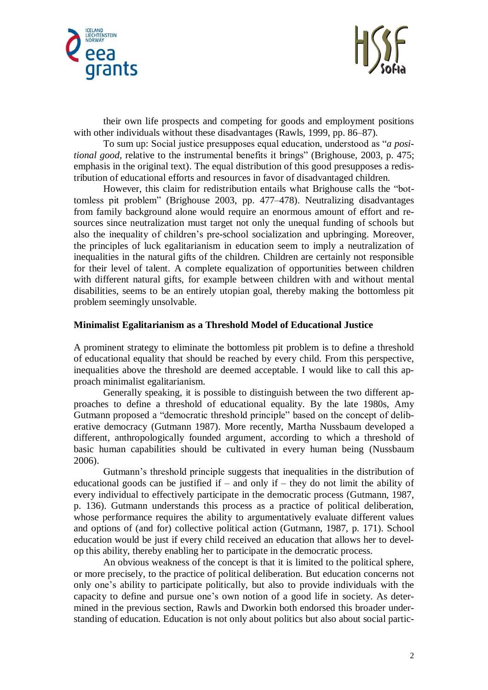



their own life prospects and competing for goods and employment positions with other individuals without these disadvantages (Rawls, 1999, pp. 86–87).

To sum up: Social justice presupposes equal education, understood as "*a positional good*, relative to the instrumental benefits it brings" (Brighouse, 2003, p. 475; emphasis in the original text). The equal distribution of this good presupposes a redistribution of educational efforts and resources in favor of disadvantaged children.

However, this claim for redistribution entails what Brighouse calls the "bottomless pit problem" (Brighouse 2003, pp. 477–478). Neutralizing disadvantages from family background alone would require an enormous amount of effort and resources since neutralization must target not only the unequal funding of schools but also the inequality of children's pre-school socialization and upbringing. Moreover, the principles of luck egalitarianism in education seem to imply a neutralization of inequalities in the natural gifts of the children. Children are certainly not responsible for their level of talent. A complete equalization of opportunities between children with different natural gifts, for example between children with and without mental disabilities, seems to be an entirely utopian goal, thereby making the bottomless pit problem seemingly unsolvable.

#### **Minimalist Egalitarianism as a Threshold Model of Educational Justice**

A prominent strategy to eliminate the bottomless pit problem is to define a threshold of educational equality that should be reached by every child. From this perspective, inequalities above the threshold are deemed acceptable. I would like to call this approach minimalist egalitarianism.

Generally speaking, it is possible to distinguish between the two different approaches to define a threshold of educational equality. By the late 1980s, Amy Gutmann proposed a "democratic threshold principle" based on the concept of deliberative democracy (Gutmann 1987). More recently, Martha Nussbaum developed a different, anthropologically founded argument, according to which a threshold of basic human capabilities should be cultivated in every human being (Nussbaum 2006).

Gutmann's threshold principle suggests that inequalities in the distribution of educational goods can be justified if – and only if – they do not limit the ability of every individual to effectively participate in the democratic process (Gutmann, 1987, p. 136). Gutmann understands this process as a practice of political deliberation, whose performance requires the ability to argumentatively evaluate different values and options of (and for) collective political action (Gutmann, 1987, p. 171). School education would be just if every child received an education that allows her to develop this ability, thereby enabling her to participate in the democratic process.

An obvious weakness of the concept is that it is limited to the political sphere, or more precisely, to the practice of political deliberation. But education concerns not only one's ability to participate politically, but also to provide individuals with the capacity to define and pursue one's own notion of a good life in society. As determined in the previous section, Rawls and Dworkin both endorsed this broader understanding of education. Education is not only about politics but also about social partic-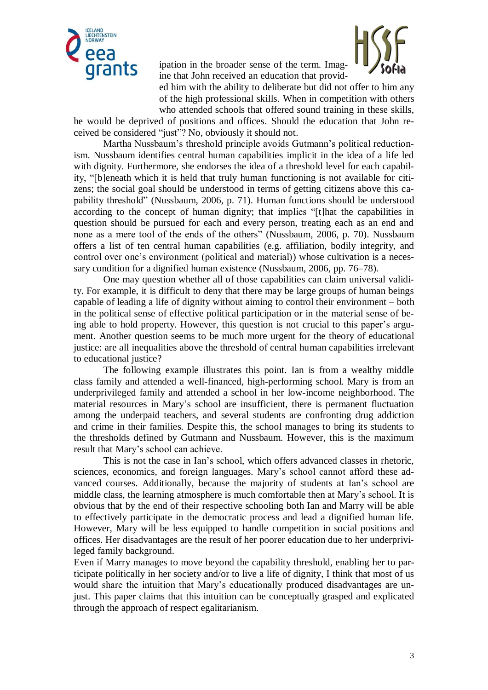

ipation in the broader sense of the term. Imagine that John received an education that provid-



ed him with the ability to deliberate but did not offer to him any of the high professional skills. When in competition with others who attended schools that offered sound training in these skills,

he would be deprived of positions and offices. Should the education that John received be considered "just"? No, obviously it should not.

Martha Nussbaum's threshold principle avoids Gutmann's political reductionism. Nussbaum identifies central human capabilities implicit in the idea of a life led with dignity. Furthermore, she endorses the idea of a threshold level for each capability, "[b]eneath which it is held that truly human functioning is not available for citizens; the social goal should be understood in terms of getting citizens above this capability threshold" (Nussbaum, 2006, p. 71). Human functions should be understood according to the concept of human dignity; that implies "[t]hat the capabilities in question should be pursued for each and every person, treating each as an end and none as a mere tool of the ends of the others" (Nussbaum, 2006, p. 70). Nussbaum offers a list of ten central human capabilities (e.g. affiliation, bodily integrity, and control over one's environment (political and material)) whose cultivation is a necessary condition for a dignified human existence (Nussbaum, 2006, pp. 76–78).

One may question whether all of those capabilities can claim universal validity. For example, it is difficult to deny that there may be large groups of human beings capable of leading a life of dignity without aiming to control their environment – both in the political sense of effective political participation or in the material sense of being able to hold property. However, this question is not crucial to this paper's argument. Another question seems to be much more urgent for the theory of educational justice: are all inequalities above the threshold of central human capabilities irrelevant to educational justice?

The following example illustrates this point. Ian is from a wealthy middle class family and attended a well-financed, high-performing school. Mary is from an underprivileged family and attended a school in her low-income neighborhood. The material resources in Mary's school are insufficient, there is permanent fluctuation among the underpaid teachers, and several students are confronting drug addiction and crime in their families. Despite this, the school manages to bring its students to the thresholds defined by Gutmann and Nussbaum. However, this is the maximum result that Mary's school can achieve.

This is not the case in Ian's school, which offers advanced classes in rhetoric, sciences, economics, and foreign languages. Mary's school cannot afford these advanced courses. Additionally, because the majority of students at Ian's school are middle class, the learning atmosphere is much comfortable then at Mary's school. It is obvious that by the end of their respective schooling both Ian and Marry will be able to effectively participate in the democratic process and lead a dignified human life. However, Mary will be less equipped to handle competition in social positions and offices. Her disadvantages are the result of her poorer education due to her underprivileged family background.

Even if Marry manages to move beyond the capability threshold, enabling her to participate politically in her society and/or to live a life of dignity, I think that most of us would share the intuition that Mary's educationally produced disadvantages are unjust. This paper claims that this intuition can be conceptually grasped and explicated through the approach of respect egalitarianism.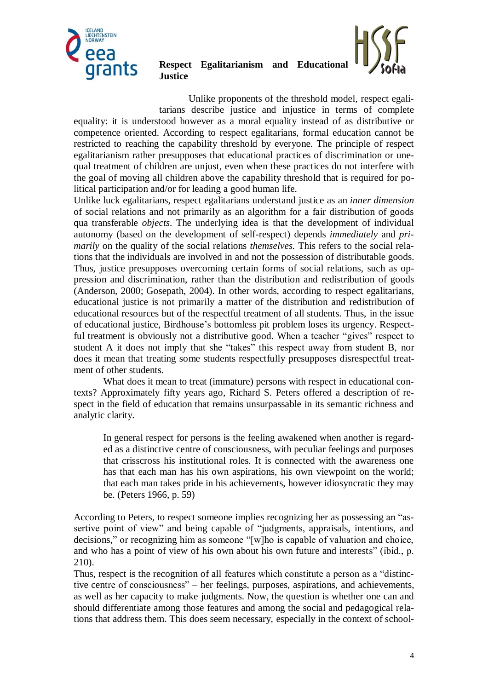

# **Respect Egalitarianism and Educational Justice**

Unlike proponents of the threshold model, respect egalitarians describe justice and injustice in terms of complete equality: it is understood however as a moral equality instead of as distributive or competence oriented. According to respect egalitarians, formal education cannot be restricted to reaching the capability threshold by everyone. The principle of respect egalitarianism rather presupposes that educational practices of discrimination or unequal treatment of children are unjust, even when these practices do not interfere with the goal of moving all children above the capability threshold that is required for political participation and/or for leading a good human life.

Unlike luck egalitarians, respect egalitarians understand justice as an *inner dimension*  of social relations and not primarily as an algorithm for a fair distribution of goods qua transferable *objects*. The underlying idea is that the development of individual autonomy (based on the development of self-respect) depends *immediately* and *primarily* on the quality of the social relations *themselves.* This refers to the social relations that the individuals are involved in and not the possession of distributable goods. Thus, justice presupposes overcoming certain forms of social relations, such as oppression and discrimination, rather than the distribution and redistribution of goods (Anderson, 2000; Gosepath, 2004). In other words, according to respect egalitarians, educational justice is not primarily a matter of the distribution and redistribution of educational resources but of the respectful treatment of all students. Thus, in the issue of educational justice, Birdhouse's bottomless pit problem loses its urgency. Respectful treatment is obviously not a distributive good. When a teacher "gives" respect to student A it does not imply that she "takes" this respect away from student B, nor does it mean that treating some students respectfully presupposes disrespectful treatment of other students.

What does it mean to treat (immature) persons with respect in educational contexts? Approximately fifty years ago, Richard S. Peters offered a description of respect in the field of education that remains unsurpassable in its semantic richness and analytic clarity.

In general respect for persons is the feeling awakened when another is regarded as a distinctive centre of consciousness, with peculiar feelings and purposes that crisscross his institutional roles. It is connected with the awareness one has that each man has his own aspirations, his own viewpoint on the world; that each man takes pride in his achievements, however idiosyncratic they may be. (Peters 1966, p. 59)

According to Peters, to respect someone implies recognizing her as possessing an "assertive point of view" and being capable of "judgments, appraisals, intentions, and decisions," or recognizing him as someone "[w]ho is capable of valuation and choice, and who has a point of view of his own about his own future and interests" (ibid., p. 210).

Thus, respect is the recognition of all features which constitute a person as a "distinctive centre of consciousness" – her feelings, purposes, aspirations, and achievements, as well as her capacity to make judgments. Now, the question is whether one can and should differentiate among those features and among the social and pedagogical relations that address them. This does seem necessary, especially in the context of school-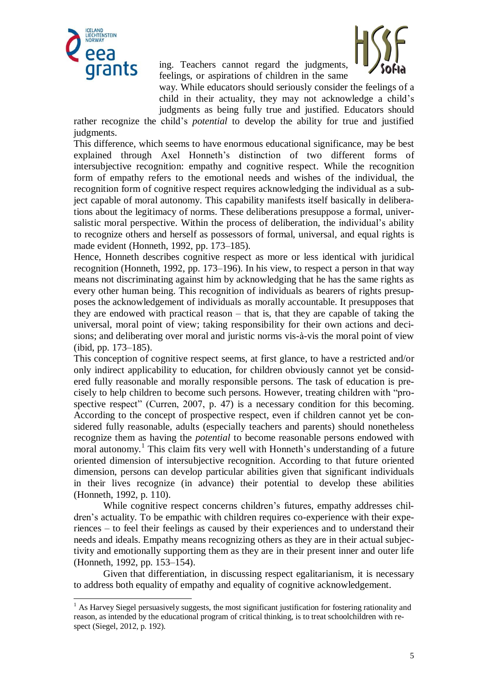

-

ing. Teachers cannot regard the judgments, feelings, or aspirations of children in the same



way. While educators should seriously consider the feelings of a child in their actuality, they may not acknowledge a child's judgments as being fully true and justified. Educators should

rather recognize the child's *potential* to develop the ability for true and justified judgments.

This difference, which seems to have enormous educational significance, may be best explained through Axel Honneth's distinction of two different forms of intersubjective recognition: empathy and cognitive respect. While the recognition form of empathy refers to the emotional needs and wishes of the individual, the recognition form of cognitive respect requires acknowledging the individual as a subject capable of moral autonomy. This capability manifests itself basically in deliberations about the legitimacy of norms. These deliberations presuppose a formal, universalistic moral perspective. Within the process of deliberation, the individual's ability to recognize others and herself as possessors of formal, universal, and equal rights is made evident (Honneth, 1992, pp. 173–185).

Hence, Honneth describes cognitive respect as more or less identical with juridical recognition (Honneth, 1992, pp. 173–196). In his view, to respect a person in that way means not discriminating against him by acknowledging that he has the same rights as every other human being. This recognition of individuals as bearers of rights presupposes the acknowledgement of individuals as morally accountable. It presupposes that they are endowed with practical reason – that is, that they are capable of taking the universal, moral point of view; taking responsibility for their own actions and decisions; and deliberating over moral and juristic norms vis-à-vis the moral point of view (ibid, pp. 173–185).

This conception of cognitive respect seems, at first glance, to have a restricted and/or only indirect applicability to education, for children obviously cannot yet be considered fully reasonable and morally responsible persons. The task of education is precisely to help children to become such persons. However, treating children with "prospective respect" (Curren, 2007, p. 47) is a necessary condition for this becoming. According to the concept of prospective respect, even if children cannot yet be considered fully reasonable, adults (especially teachers and parents) should nonetheless recognize them as having the *potential* to become reasonable persons endowed with moral autonomy.<sup>1</sup> This claim fits very well with Honneth's understanding of a future oriented dimension of intersubjective recognition. According to that future oriented dimension, persons can develop particular abilities given that significant individuals in their lives recognize (in advance) their potential to develop these abilities (Honneth, 1992, p. 110).

While cognitive respect concerns children's futures, empathy addresses children's actuality. To be empathic with children requires co-experience with their experiences – to feel their feelings as caused by their experiences and to understand their needs and ideals. Empathy means recognizing others as they are in their actual subjectivity and emotionally supporting them as they are in their present inner and outer life (Honneth, 1992, pp. 153–154).

Given that differentiation, in discussing respect egalitarianism, it is necessary to address both equality of empathy and equality of cognitive acknowledgement.

<sup>&</sup>lt;sup>1</sup> As Harvey Siegel persuasively suggests, the most significant justification for fostering rationality and reason, as intended by the educational program of critical thinking, is to treat schoolchildren with respect (Siegel, 2012, p. 192).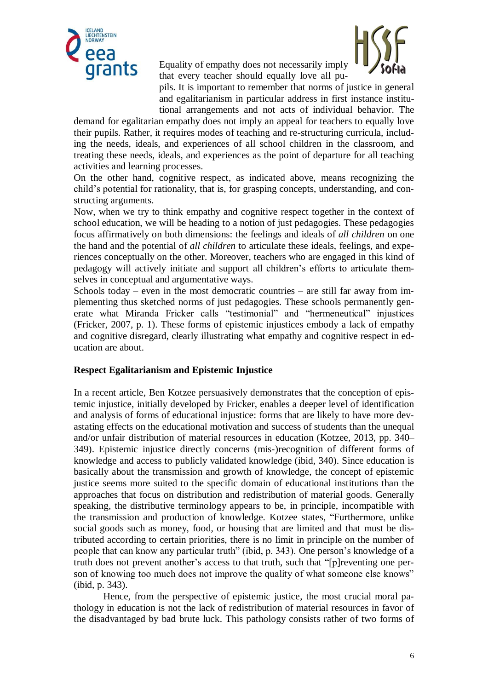

Equality of empathy does not necessarily imply that every teacher should equally love all pu-



pils. It is important to remember that norms of justice in general and egalitarianism in particular address in first instance institutional arrangements and not acts of individual behavior. The

demand for egalitarian empathy does not imply an appeal for teachers to equally love their pupils. Rather, it requires modes of teaching and re-structuring curricula, including the needs, ideals, and experiences of all school children in the classroom, and treating these needs, ideals, and experiences as the point of departure for all teaching activities and learning processes.

On the other hand, cognitive respect, as indicated above, means recognizing the child's potential for rationality, that is, for grasping concepts, understanding, and constructing arguments.

Now, when we try to think empathy and cognitive respect together in the context of school education, we will be heading to a notion of just pedagogies. These pedagogies focus affirmatively on both dimensions: the feelings and ideals of *all children* on one the hand and the potential of *all children* to articulate these ideals, feelings, and experiences conceptually on the other. Moreover, teachers who are engaged in this kind of pedagogy will actively initiate and support all children's efforts to articulate themselves in conceptual and argumentative ways.

Schools today – even in the most democratic countries – are still far away from implementing thus sketched norms of just pedagogies. These schools permanently generate what Miranda Fricker calls "testimonial" and "hermeneutical" injustices (Fricker, 2007, p. 1). These forms of epistemic injustices embody a lack of empathy and cognitive disregard, clearly illustrating what empathy and cognitive respect in education are about.

## **Respect Egalitarianism and Epistemic Injustice**

In a recent article, Ben Kotzee persuasively demonstrates that the conception of epistemic injustice, initially developed by Fricker, enables a deeper level of identification and analysis of forms of educational injustice: forms that are likely to have more devastating effects on the educational motivation and success of students than the unequal and/or unfair distribution of material resources in education (Kotzee, 2013, pp. 340– 349). Epistemic injustice directly concerns (mis-)recognition of different forms of knowledge and access to publicly validated knowledge (ibid, 340). Since education is basically about the transmission and growth of knowledge, the concept of epistemic justice seems more suited to the specific domain of educational institutions than the approaches that focus on distribution and redistribution of material goods. Generally speaking, the distributive terminology appears to be, in principle, incompatible with the transmission and production of knowledge. Kotzee states, "Furthermore, unlike social goods such as money, food, or housing that are limited and that must be distributed according to certain priorities, there is no limit in principle on the number of people that can know any particular truth" (ibid, p. 343). One person's knowledge of a truth does not prevent another's access to that truth, such that "[p]reventing one person of knowing too much does not improve the quality of what someone else knows" (ibid, p. 343).

Hence, from the perspective of epistemic justice, the most crucial moral pathology in education is not the lack of redistribution of material resources in favor of the disadvantaged by bad brute luck. This pathology consists rather of two forms of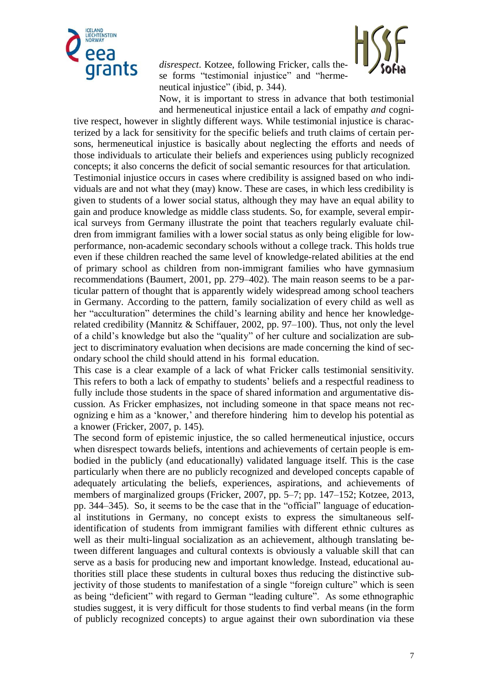

*disrespect*. Kotzee, following Fricker, calls these forms "testimonial injustice" and "hermeneutical injustice" (ibid, p. 344).



Now, it is important to stress in advance that both testimonial and hermeneutical injustice entail a lack of empathy *and* cogni-

tive respect, however in slightly different ways. While testimonial injustice is characterized by a lack for sensitivity for the specific beliefs and truth claims of certain persons, hermeneutical injustice is basically about neglecting the efforts and needs of those individuals to articulate their beliefs and experiences using publicly recognized concepts; it also concerns the deficit of social semantic resources for that articulation. Testimonial injustice occurs in cases where credibility is assigned based on who individuals are and not what they (may) know. These are cases, in which less credibility is given to students of a lower social status, although they may have an equal ability to gain and produce knowledge as middle class students. So, for example, several empirical surveys from Germany illustrate the point that teachers regularly evaluate children from immigrant families with a lower social status as only being eligible for lowperformance, non-academic secondary schools without a college track. This holds true even if these children reached the same level of knowledge-related abilities at the end of primary school as children from non-immigrant families who have gymnasium recommendations (Baumert, 2001, pp. 279–402). The main reason seems to be a particular pattern of thought that is apparently widely widespread among school teachers in Germany. According to the pattern, family socialization of every child as well as her "acculturation" determines the child's learning ability and hence her knowledgerelated credibility (Mannitz & Schiffauer, 2002, pp. 97–100). Thus, not only the level of a child's knowledge but also the "quality" of her culture and socialization are subject to discriminatory evaluation when decisions are made concerning the kind of secondary school the child should attend in his formal education.

This case is a clear example of a lack of what Fricker calls testimonial sensitivity. This refers to both a lack of empathy to students' beliefs and a respectful readiness to fully include those students in the space of shared information and argumentative discussion. As Fricker emphasizes, not including someone in that space means not recognizing e him as a 'knower,' and therefore hindering him to develop his potential as a knower (Fricker, 2007, p. 145).

The second form of epistemic injustice, the so called hermeneutical injustice, occurs when disrespect towards beliefs, intentions and achievements of certain people is embodied in the publicly (and educationally) validated language itself. This is the case particularly when there are no publicly recognized and developed concepts capable of adequately articulating the beliefs, experiences, aspirations, and achievements of members of marginalized groups (Fricker, 2007, pp. 5–7; pp. 147–152; Kotzee, 2013, pp. 344–345). So, it seems to be the case that in the "official" language of educational institutions in Germany, no concept exists to express the simultaneous selfidentification of students from immigrant families with different ethnic cultures as well as their multi-lingual socialization as an achievement, although translating between different languages and cultural contexts is obviously a valuable skill that can serve as a basis for producing new and important knowledge. Instead, educational authorities still place these students in cultural boxes thus reducing the distinctive subjectivity of those students to manifestation of a single "foreign culture" which is seen as being "deficient" with regard to German "leading culture". As some ethnographic studies suggest, it is very difficult for those students to find verbal means (in the form of publicly recognized concepts) to argue against their own subordination via these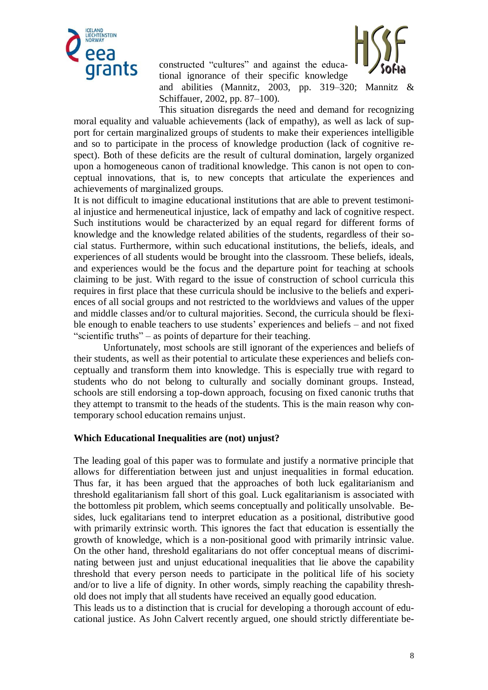

constructed "cultures" and against the educational ignorance of their specific knowledge



and abilities (Mannitz, 2003, pp. 319–320; Mannitz & Schiffauer, 2002, pp. 87–100).

This situation disregards the need and demand for recognizing moral equality and valuable achievements (lack of empathy), as well as lack of support for certain marginalized groups of students to make their experiences intelligible and so to participate in the process of knowledge production (lack of cognitive respect). Both of these deficits are the result of cultural domination, largely organized upon a homogeneous canon of traditional knowledge. This canon is not open to conceptual innovations, that is, to new concepts that articulate the experiences and achievements of marginalized groups.

It is not difficult to imagine educational institutions that are able to prevent testimonial injustice and hermeneutical injustice, lack of empathy and lack of cognitive respect. Such institutions would be characterized by an equal regard for different forms of knowledge and the knowledge related abilities of the students, regardless of their social status. Furthermore, within such educational institutions, the beliefs, ideals, and experiences of all students would be brought into the classroom. These beliefs, ideals, and experiences would be the focus and the departure point for teaching at schools claiming to be just. With regard to the issue of construction of school curricula this requires in first place that these curricula should be inclusive to the beliefs and experiences of all social groups and not restricted to the worldviews and values of the upper and middle classes and/or to cultural majorities. Second, the curricula should be flexible enough to enable teachers to use students' experiences and beliefs – and not fixed "scientific truths" – as points of departure for their teaching.

Unfortunately, most schools are still ignorant of the experiences and beliefs of their students, as well as their potential to articulate these experiences and beliefs conceptually and transform them into knowledge. This is especially true with regard to students who do not belong to culturally and socially dominant groups. Instead, schools are still endorsing a top-down approach, focusing on fixed canonic truths that they attempt to transmit to the heads of the students. This is the main reason why contemporary school education remains unjust.

#### **Which Educational Inequalities are (not) unjust?**

The leading goal of this paper was to formulate and justify a normative principle that allows for differentiation between just and unjust inequalities in formal education. Thus far, it has been argued that the approaches of both luck egalitarianism and threshold egalitarianism fall short of this goal. Luck egalitarianism is associated with the bottomless pit problem, which seems conceptually and politically unsolvable. Besides, luck egalitarians tend to interpret education as a positional, distributive good with primarily extrinsic worth. This ignores the fact that education is essentially the growth of knowledge, which is a non-positional good with primarily intrinsic value. On the other hand, threshold egalitarians do not offer conceptual means of discriminating between just and unjust educational inequalities that lie above the capability threshold that every person needs to participate in the political life of his society and/or to live a life of dignity. In other words, simply reaching the capability threshold does not imply that all students have received an equally good education.

This leads us to a distinction that is crucial for developing a thorough account of educational justice. As John Calvert recently argued, one should strictly differentiate be-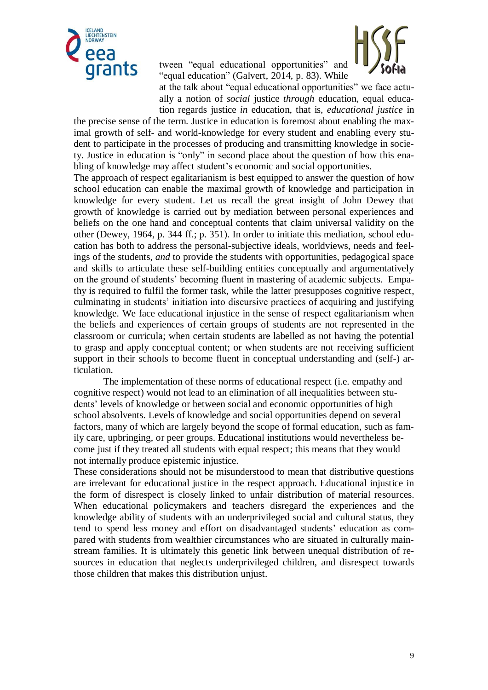

tween "equal educational opportunities" and "equal education" (Galvert, 2014, p. 83). While



at the talk about "equal educational opportunities" we face actually a notion of *social* justice *through* education, equal education regards justice *in* education, that is, *educational justice* in

the precise sense of the term. Justice in education is foremost about enabling the maximal growth of self- and world-knowledge for every student and enabling every student to participate in the processes of producing and transmitting knowledge in society. Justice in education is "only" in second place about the question of how this enabling of knowledge may affect student's economic and social opportunities.

The approach of respect egalitarianism is best equipped to answer the question of how school education can enable the maximal growth of knowledge and participation in knowledge for every student. Let us recall the great insight of John Dewey that growth of knowledge is carried out by mediation between personal experiences and beliefs on the one hand and conceptual contents that claim universal validity on the other (Dewey, 1964, p. 344 ff.; p. 351). In order to initiate this mediation, school education has both to address the personal-subjective ideals, worldviews, needs and feelings of the students, *and* to provide the students with opportunities, pedagogical space and skills to articulate these self-building entities conceptually and argumentatively on the ground of students' becoming fluent in mastering of academic subjects. Empathy is required to fulfil the former task, while the latter presupposes cognitive respect, culminating in students' initiation into discursive practices of acquiring and justifying knowledge. We face educational injustice in the sense of respect egalitarianism when the beliefs and experiences of certain groups of students are not represented in the classroom or curricula; when certain students are labelled as not having the potential to grasp and apply conceptual content; or when students are not receiving sufficient support in their schools to become fluent in conceptual understanding and (self-) articulation.

The implementation of these norms of educational respect (i.e. empathy and cognitive respect) would not lead to an elimination of all inequalities between students' levels of knowledge or between social and economic opportunities of high school absolvents. Levels of knowledge and social opportunities depend on several factors, many of which are largely beyond the scope of formal education, such as family care, upbringing, or peer groups. Educational institutions would nevertheless become just if they treated all students with equal respect; this means that they would not internally produce epistemic injustice.

These considerations should not be misunderstood to mean that distributive questions are irrelevant for educational justice in the respect approach. Educational injustice in the form of disrespect is closely linked to unfair distribution of material resources. When educational policymakers and teachers disregard the experiences and the knowledge ability of students with an underprivileged social and cultural status, they tend to spend less money and effort on disadvantaged students' education as compared with students from wealthier circumstances who are situated in culturally mainstream families. It is ultimately this genetic link between unequal distribution of resources in education that neglects underprivileged children, and disrespect towards those children that makes this distribution unjust.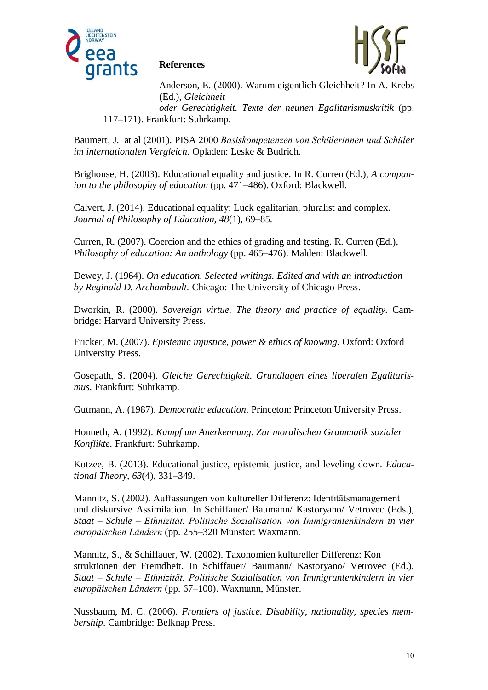

### **References**



Anderson, E. (2000). Warum eigentlich Gleichheit? In A. Krebs (Ed.), *Gleichheit* 

*oder Gerechtigkeit. Texte der neunen Egalitarismuskritik* (pp. 117–171). Frankfurt: Suhrkamp.

Baumert, J. at al (2001). PISA 2000 *Basiskompetenzen von Schülerinnen und Schüler im internationalen Vergleich.* Opladen: Leske & Budrich.

Brighouse, H. (2003). Educational equality and justice. In R. Curren (Ed.), *A companion to the philosophy of education* (pp. 471–486). Oxford: Blackwell.

Calvert, J. (2014). Educational equality: Luck egalitarian, pluralist and complex. *Journal of Philosophy of Education, 48*(1), 69–85.

Curren, R. (2007). Coercion and the ethics of grading and testing. R. Curren (Ed.), *Philosophy of education: An anthology* (pp. 465–476). Malden: Blackwell.

Dewey, J. (1964). *On education. Selected writings. Edited and with an introduction by Reginald D. Archambault.* Chicago: The University of Chicago Press.

Dworkin, R. (2000). *Sovereign virtue. The theory and practice of equality.* Cambridge: Harvard University Press.

Fricker, M. (2007). *Epistemic injustice, power & ethics of knowing.* Oxford: Oxford University Press.

Gosepath, S. (2004). *Gleiche Gerechtigkeit. Grundlagen eines liberalen Egalitarismus*. Frankfurt: Suhrkamp.

Gutmann, A. (1987). *Democratic education*. Princeton: Princeton University Press.

Honneth, A. (1992). *Kampf um Anerkennung. Zur moralischen Grammatik sozialer Konflikte.* Frankfurt: Suhrkamp.

Kotzee, B. (2013). Educational justice, epistemic justice, and leveling down. *Educational Theory, 63*(4), 331–349.

Mannitz, S. (2002). Auffassungen von kultureller Differenz: Identitätsmanagement und diskursive Assimilation. In Schiffauer/ Baumann/ Kastoryano/ Vetrovec (Eds.), *Staat – Schule – Ethnizität. Politische Sozialisation von Immigrantenkindern in vier europäischen Ländern* (pp. 255–320 Münster: Waxmann.

Mannitz, S., & Schiffauer, W. (2002). Taxonomien kultureller Differenz: Kon struktionen der Fremdheit. In Schiffauer/ Baumann/ Kastoryano/ Vetrovec (Ed.), *Staat – Schule – Ethnizität. Politische Sozialisation von Immigrantenkindern in vier europäischen Ländern* (pp. 67–100). Waxmann, Münster.

Nussbaum, M. C. (2006). *Frontiers of justice. Disability, nationality, species membership*. Cambridge: Belknap Press.